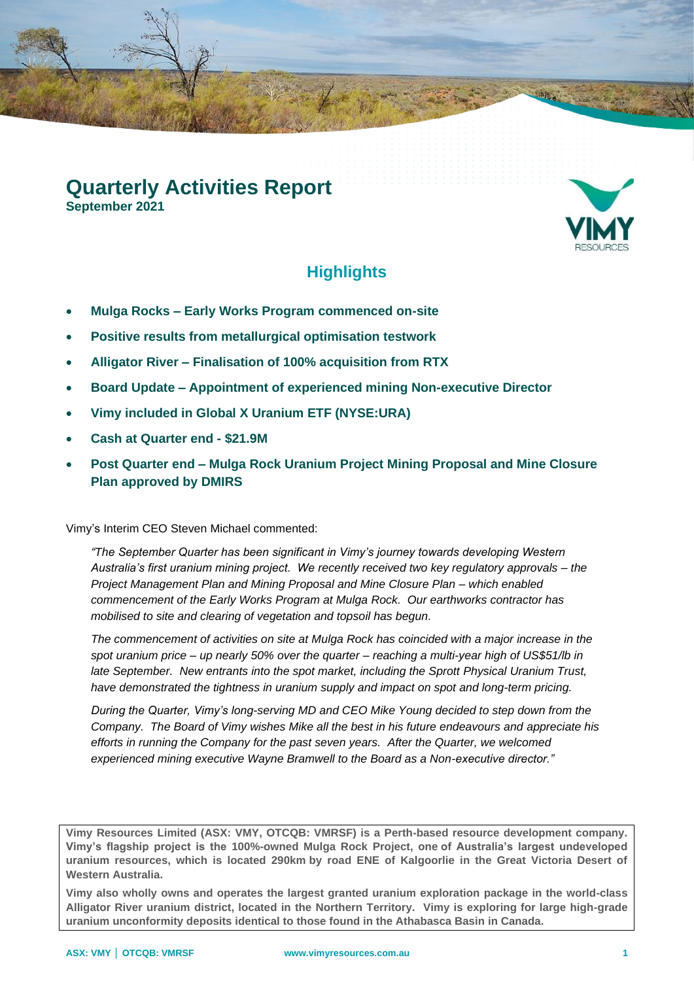# **Quarterly Activities Report**

**September 2021**



# **Highlights**

- **Mulga Rocks – Early Works Program commenced on-site**
- **Positive results from metallurgical optimisation testwork**
- **Alligator River – Finalisation of 100% acquisition from RTX**
- **Board Update – Appointment of experienced mining Non-executive Director**
- **Vimy included in Global X Uranium ETF (NYSE:URA)**
- **Cash at Quarter end - \$21.9M**
- **Post Quarter end – Mulga Rock Uranium Project Mining Proposal and Mine Closure Plan approved by DMIRS**

Vimy's Interim CEO Steven Michael commented:

*"The September Quarter has been significant in Vimy's journey towards developing Western Australia's first uranium mining project. We recently received two key regulatory approvals – the Project Management Plan and Mining Proposal and Mine Closure Plan – which enabled commencement of the Early Works Program at Mulga Rock. Our earthworks contractor has mobilised to site and clearing of vegetation and topsoil has begun.*

*The commencement of activities on site at Mulga Rock has coincided with a major increase in the spot uranium price – up nearly 50% over the quarter – reaching a multi-year high of US\$51/lb in late September. New entrants into the spot market, including the Sprott Physical Uranium Trust, have demonstrated the tightness in uranium supply and impact on spot and long-term pricing.*

*During the Quarter, Vimy's long-serving MD and CEO Mike Young decided to step down from the Company. The Board of Vimy wishes Mike all the best in his future endeavours and appreciate his efforts in running the Company for the past seven years. After the Quarter, we welcomed experienced mining executive Wayne Bramwell to the Board as a Non-executive director."*

**Vimy Resources Limited (ASX: VMY, OTCQB: VMRSF) is a Perth-based resource development company. Vimy's flagship project is the 100%-owned Mulga Rock Project, one of Australia's largest undeveloped uranium resources, which is located 290km by road ENE of Kalgoorlie in the Great Victoria Desert of Western Australia.**

**Vimy also wholly owns and operates the largest granted uranium exploration package in the world-class Alligator River uranium district, located in the Northern Territory. Vimy is exploring for large high-grade uranium unconformity deposits identical to those found in the Athabasca Basin in Canada.**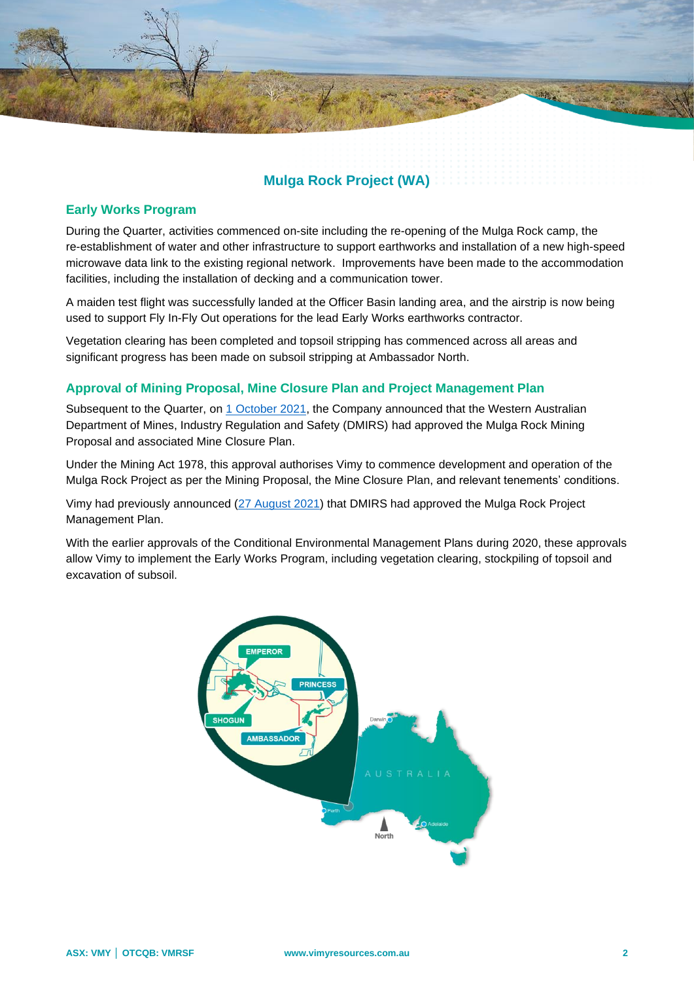# **Mulga Rock Project (WA)**

#### **Early Works Program**

During the Quarter, activities commenced on-site including the re-opening of the Mulga Rock camp, the re-establishment of water and other infrastructure to support earthworks and installation of a new high-speed microwave data link to the existing regional network. Improvements have been made to the accommodation facilities, including the installation of decking and a communication tower.

A maiden test flight was successfully landed at the Officer Basin landing area, and the airstrip is now being used to support Fly In-Fly Out operations for the lead Early Works earthworks contractor.

Vegetation clearing has been completed and topsoil stripping has commenced across all areas and significant progress has been made on subsoil stripping at Ambassador North.

#### **Approval of Mining Proposal, Mine Closure Plan and Project Management Plan**

Subsequent to the Quarter, on [1 October 2021,](http://clients3.weblink.com.au/pdf/VMY/02429873.pdf) the Company announced that the Western Australian Department of Mines, Industry Regulation and Safety (DMIRS) had approved the Mulga Rock Mining Proposal and associated Mine Closure Plan.

Under the Mining Act 1978, this approval authorises Vimy to commence development and operation of the Mulga Rock Project as per the Mining Proposal, the Mine Closure Plan, and relevant tenements' conditions.

Vimy had previously announced [\(27 August 2021\)](http://clients3.weblink.com.au/pdf/VMY/02413259.pdf) that DMIRS had approved the Mulga Rock Project Management Plan.

With the earlier approvals of the Conditional Environmental Management Plans during 2020, these approvals allow Vimy to implement the Early Works Program, including vegetation clearing, stockpiling of topsoil and excavation of subsoil.

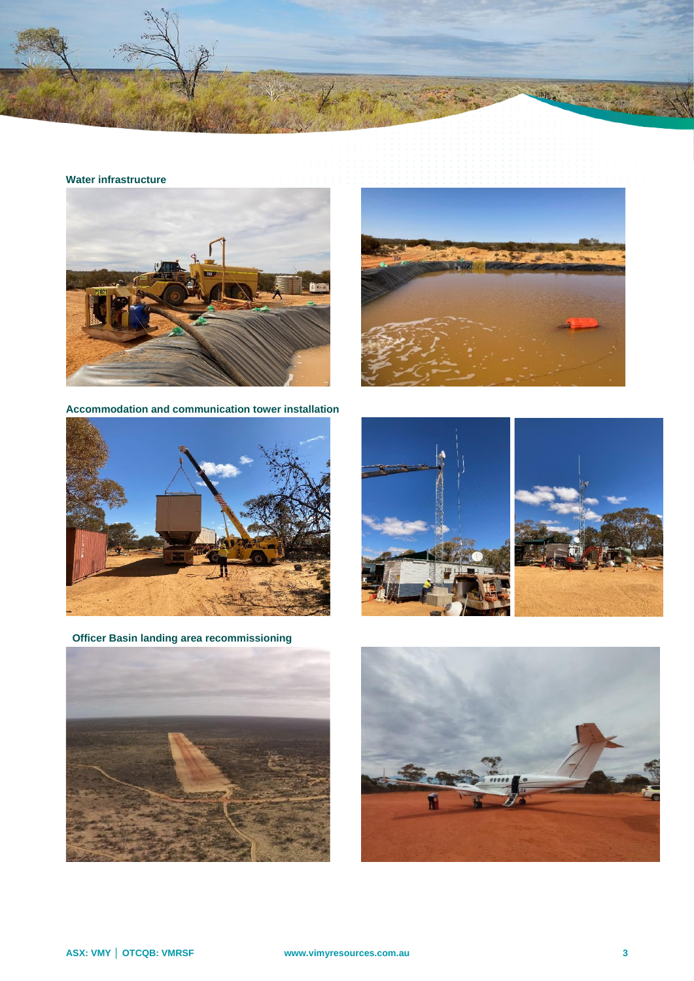

#### **Water infrastructure**



**Accommodation and communication tower installation**





**Officer Basin landing area recommissioning**





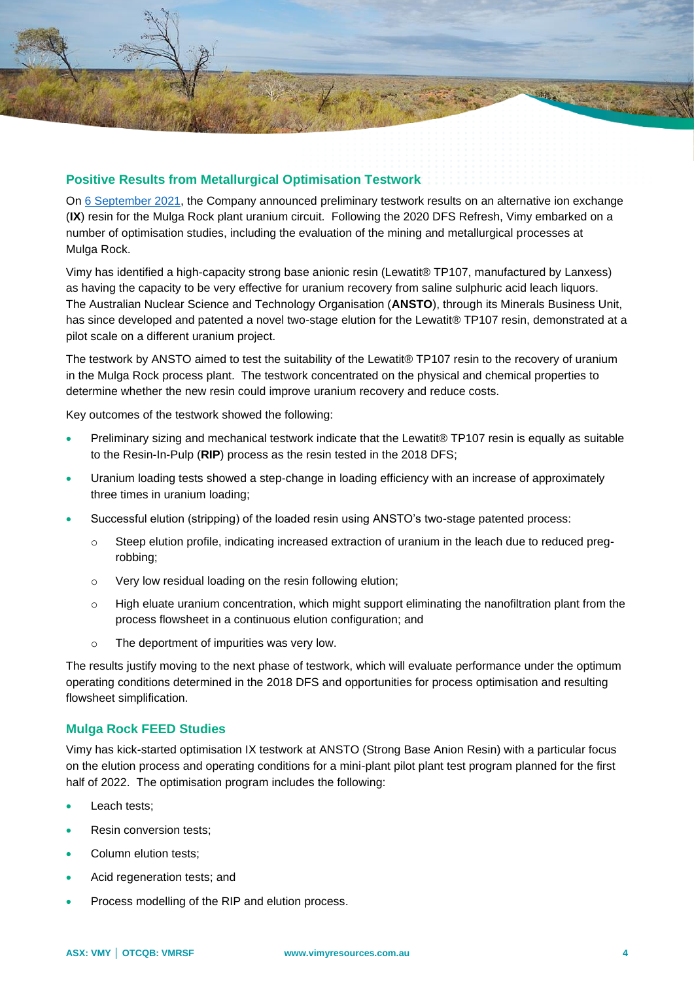

#### **Positive Results from Metallurgical Optimisation Testwork**

On [6 September 2021,](http://clients3.weblink.com.au/pdf/VMY/02417861.pdf) the Company announced preliminary testwork results on an alternative ion exchange (**IX**) resin for the Mulga Rock plant uranium circuit. Following the 2020 DFS Refresh, Vimy embarked on a number of optimisation studies, including the evaluation of the mining and metallurgical processes at Mulga Rock.

Vimy has identified a high-capacity strong base anionic resin (Lewatit® TP107, manufactured by Lanxess) as having the capacity to be very effective for uranium recovery from saline sulphuric acid leach liquors. The Australian Nuclear Science and Technology Organisation (**ANSTO**), through its Minerals Business Unit, has since developed and patented a novel two-stage elution for the Lewatit® TP107 resin, demonstrated at a pilot scale on a different uranium project.

The testwork by ANSTO aimed to test the suitability of the Lewatit® TP107 resin to the recovery of uranium in the Mulga Rock process plant. The testwork concentrated on the physical and chemical properties to determine whether the new resin could improve uranium recovery and reduce costs.

Key outcomes of the testwork showed the following:

- Preliminary sizing and mechanical testwork indicate that the Lewatit® TP107 resin is equally as suitable to the Resin-In-Pulp (**RIP**) process as the resin tested in the 2018 DFS;
- Uranium loading tests showed a step-change in loading efficiency with an increase of approximately three times in uranium loading;
- Successful elution (stripping) of the loaded resin using ANSTO's two-stage patented process:
	- o Steep elution profile, indicating increased extraction of uranium in the leach due to reduced pregrobbing;
	- o Very low residual loading on the resin following elution;
	- $\circ$  High eluate uranium concentration, which might support eliminating the nanofiltration plant from the process flowsheet in a continuous elution configuration; and
	- o The deportment of impurities was very low.

The results justify moving to the next phase of testwork, which will evaluate performance under the optimum operating conditions determined in the 2018 DFS and opportunities for process optimisation and resulting flowsheet simplification.

#### **Mulga Rock FEED Studies**

Vimy has kick-started optimisation IX testwork at ANSTO (Strong Base Anion Resin) with a particular focus on the elution process and operating conditions for a mini-plant pilot plant test program planned for the first half of 2022. The optimisation program includes the following:

- Leach tests:
- Resin conversion tests;
- Column elution tests;
- Acid regeneration tests; and
- Process modelling of the RIP and elution process.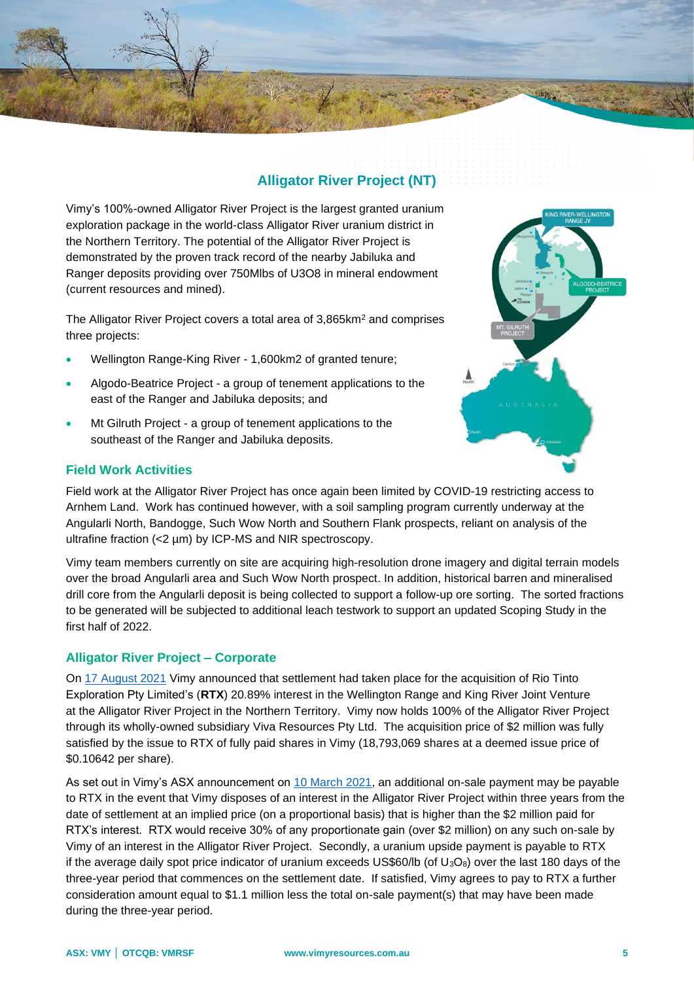

Vimy's 100%-owned Alligator River Project is the largest granted uranium exploration package in the world-class Alligator River uranium district in the Northern Territory. The potential of the Alligator River Project is demonstrated by the proven track record of the nearby Jabiluka and Ranger deposits providing over 750Mlbs of U3O8 in mineral endowment (current resources and mined).

The Alligator River Project covers a total area of 3,865km<sup>2</sup> and comprises three projects:

- Wellington Range-King River 1,600km2 of granted tenure;
- Algodo-Beatrice Project a group of tenement applications to the east of the Ranger and Jabiluka deposits; and
- Mt Gilruth Project a group of tenement applications to the southeast of the Ranger and Jabiluka deposits.

### **Field Work Activities**

Field work at the Alligator River Project has once again been limited by COVID-19 restricting access to Arnhem Land. Work has continued however, with a soil sampling program currently underway at the Angularli North, Bandogge, Such Wow North and Southern Flank prospects, reliant on analysis of the ultrafine fraction (<2 µm) by ICP-MS and NIR spectroscopy.

Vimy team members currently on site are acquiring high-resolution drone imagery and digital terrain models over the broad Angularli area and Such Wow North prospect. In addition, historical barren and mineralised drill core from the Angularli deposit is being collected to support a follow-up ore sorting. The sorted fractions to be generated will be subjected to additional leach testwork to support an updated Scoping Study in the first half of 2022.

## **Alligator River Project – Corporate**

On [17 August 2021](http://clients3.weblink.com.au/pdf/VMY/02407895.pdf) Vimy announced that settlement had taken place for the acquisition of Rio Tinto Exploration Pty Limited's (**RTX**) 20.89% interest in the Wellington Range and King River Joint Venture at the Alligator River Project in the Northern Territory. Vimy now holds 100% of the Alligator River Project through its wholly-owned subsidiary Viva Resources Pty Ltd. The acquisition price of \$2 million was fully satisfied by the issue to RTX of fully paid shares in Vimy (18,793,069 shares at a deemed issue price of \$0.10642 per share).

As set out in Vimy's ASX announcement on [10 March 2021,](http://clients3.weblink.com.au/pdf/VMY/02352004.pdf) an additional on-sale payment may be payable to RTX in the event that Vimy disposes of an interest in the Alligator River Project within three years from the date of settlement at an implied price (on a proportional basis) that is higher than the \$2 million paid for RTX's interest. RTX would receive 30% of any proportionate gain (over \$2 million) on any such on-sale by Vimy of an interest in the Alligator River Project. Secondly, a uranium upside payment is payable to RTX if the average daily spot price indicator of uranium exceeds US\$60/lb (of  $U_3O_8$ ) over the last 180 days of the three-year period that commences on the settlement date. If satisfied, Vimy agrees to pay to RTX a further consideration amount equal to \$1.1 million less the total on-sale payment(s) that may have been made during the three-year period.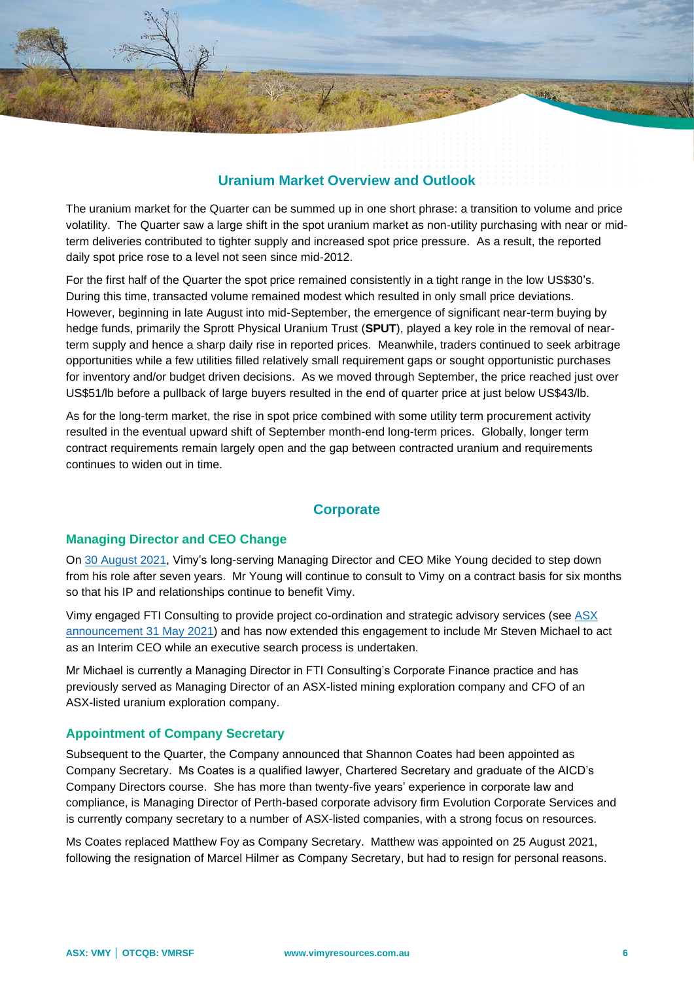# **Uranium Market Overview and Outlook**

The uranium market for the Quarter can be summed up in one short phrase: a transition to volume and price volatility. The Quarter saw a large shift in the spot uranium market as non-utility purchasing with near or midterm deliveries contributed to tighter supply and increased spot price pressure. As a result, the reported daily spot price rose to a level not seen since mid-2012.

For the first half of the Quarter the spot price remained consistently in a tight range in the low US\$30's. During this time, transacted volume remained modest which resulted in only small price deviations. However, beginning in late August into mid-September, the emergence of significant near-term buying by hedge funds, primarily the Sprott Physical Uranium Trust (**SPUT**), played a key role in the removal of nearterm supply and hence a sharp daily rise in reported prices. Meanwhile, traders continued to seek arbitrage opportunities while a few utilities filled relatively small requirement gaps or sought opportunistic purchases for inventory and/or budget driven decisions. As we moved through September, the price reached just over US\$51/lb before a pullback of large buyers resulted in the end of quarter price at just below US\$43/lb.

As for the long-term market, the rise in spot price combined with some utility term procurement activity resulted in the eventual upward shift of September month-end long-term prices. Globally, longer term contract requirements remain largely open and the gap between contracted uranium and requirements continues to widen out in time.

## **Corporate**

#### **Managing Director and CEO Change**

On [30 August 2021,](http://clients3.weblink.com.au/pdf/VMY/02414202.pdf) Vimy's long-serving Managing Director and CEO Mike Young decided to step down from his role after seven years. Mr Young will continue to consult to Vimy on a contract basis for six months so that his IP and relationships continue to benefit Vimy.

Vimy engaged FTI Consulting to provide project co-ordination and strategic advisory services (see [ASX](http://clients3.weblink.com.au/pdf/VMY/02379676.pdf)  [announcement](http://clients3.weblink.com.au/pdf/VMY/02379676.pdf) 31 May 2021) and has now extended this engagement to include Mr Steven Michael to act as an Interim CEO while an executive search process is undertaken.

Mr Michael is currently a Managing Director in FTI Consulting's Corporate Finance practice and has previously served as Managing Director of an ASX-listed mining exploration company and CFO of an ASX-listed uranium exploration company.

#### **Appointment of Company Secretary**

Subsequent to the Quarter, the Company announced that Shannon Coates had been appointed as Company Secretary. Ms Coates is a qualified lawyer, Chartered Secretary and graduate of the AICD's Company Directors course. She has more than twenty-five years' experience in corporate law and compliance, is Managing Director of Perth-based corporate advisory firm Evolution Corporate Services and is currently company secretary to a number of ASX-listed companies, with a strong focus on resources.

Ms Coates replaced Matthew Foy as Company Secretary. Matthew was appointed on 25 August 2021, following the resignation of Marcel Hilmer as Company Secretary, but had to resign for personal reasons.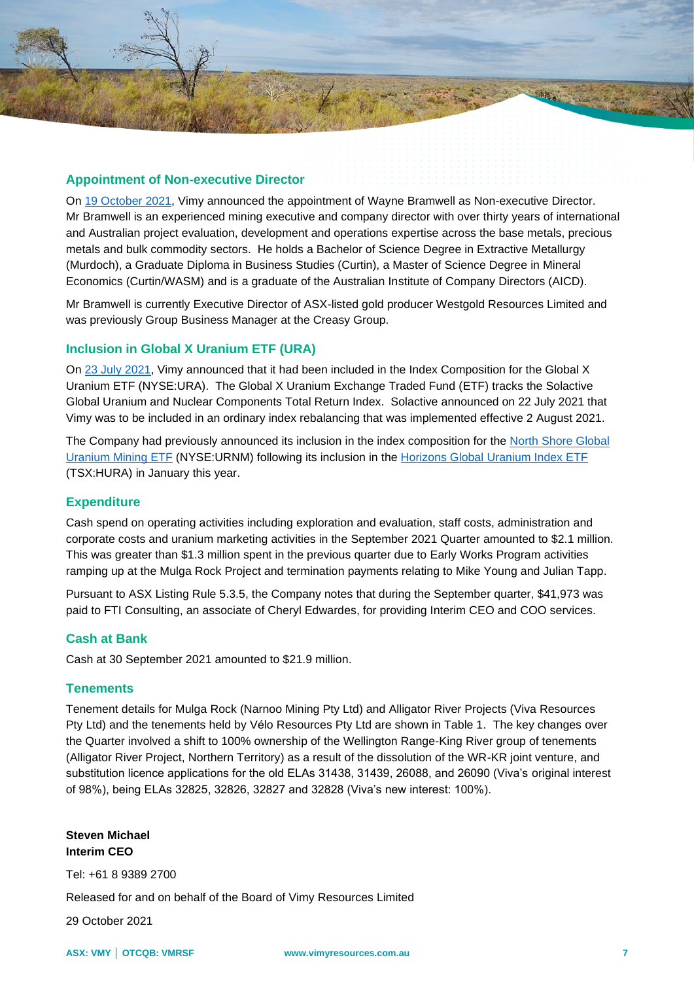

#### **Appointment of Non-executive Director**

On [19 October 2021,](http://clients3.weblink.com.au/pdf/VMY/02437512.pdf) Vimy announced the appointment of Wayne Bramwell as Non-executive Director. Mr Bramwell is an experienced mining executive and company director with over thirty years of international and Australian project evaluation, development and operations expertise across the base metals, precious metals and bulk commodity sectors. He holds a Bachelor of Science Degree in Extractive Metallurgy (Murdoch), a Graduate Diploma in Business Studies (Curtin), a Master of Science Degree in Mineral Economics (Curtin/WASM) and is a graduate of the Australian Institute of Company Directors (AICD).

Mr Bramwell is currently Executive Director of ASX-listed gold producer Westgold Resources Limited and was previously Group Business Manager at the Creasy Group.

#### **Inclusion in Global X Uranium ETF (URA)**

On [23 July 2021,](http://clients3.weblink.com.au/pdf/VMY/02398526.pdf) Vimy announced that it had been included in the Index Composition for the Global X Uranium ETF (NYSE:URA). The Global X Uranium Exchange Traded Fund (ETF) tracks the Solactive Global Uranium and Nuclear Components Total Return Index. Solactive announced on 22 July 2021 that Vimy was to be included in an ordinary index rebalancing that was implemented effective 2 August 2021.

The Company had previously announced its inclusion in the index composition for the [North Shore Global](http://clients3.weblink.com.au/pdf/VMY/02359921.pdf)  [Uranium Mining ETF](http://clients3.weblink.com.au/pdf/VMY/02359921.pdf) (NYSE:URNM) following its inclusion in the [Horizons Global Uranium Index ETF](http://clients3.weblink.com.au/pdf/VMY/02336073.pdf) (TSX:HURA) in January this year.

#### **Expenditure**

Cash spend on operating activities including exploration and evaluation, staff costs, administration and corporate costs and uranium marketing activities in the September 2021 Quarter amounted to \$2.1 million. This was greater than \$1.3 million spent in the previous quarter due to Early Works Program activities ramping up at the Mulga Rock Project and termination payments relating to Mike Young and Julian Tapp.

Pursuant to ASX Listing Rule 5.3.5, the Company notes that during the September quarter, \$41,973 was paid to FTI Consulting, an associate of Cheryl Edwardes, for providing Interim CEO and COO services.

#### **Cash at Bank**

Cash at 30 September 2021 amounted to \$21.9 million.

#### **Tenements**

Tenement details for Mulga Rock (Narnoo Mining Pty Ltd) and Alligator River Projects (Viva Resources Pty Ltd) and the tenements held by Vélo Resources Pty Ltd are shown in Table 1. The key changes over the Quarter involved a shift to 100% ownership of the Wellington Range-King River group of tenements (Alligator River Project, Northern Territory) as a result of the dissolution of the WR-KR joint venture, and substitution licence applications for the old ELAs 31438, 31439, 26088, and 26090 (Viva's original interest of 98%), being ELAs 32825, 32826, 32827 and 32828 (Viva's new interest: 100%).

**Steven Michael Interim CEO** 

Tel: +61 8 9389 2700

Released for and on behalf of the Board of Vimy Resources Limited

29 October 2021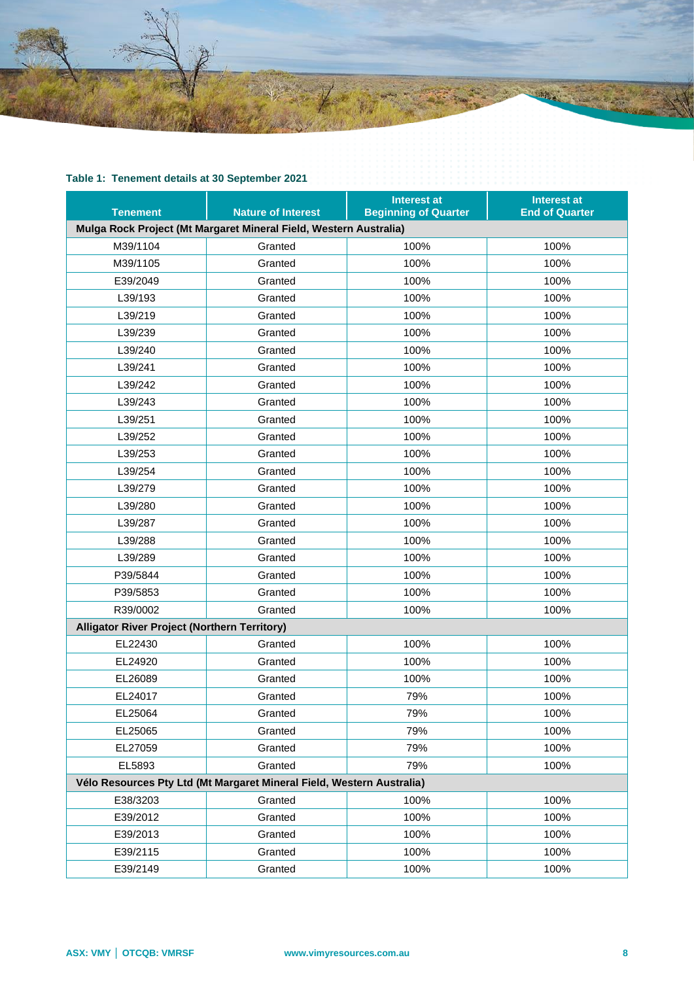

# **Table 1: Tenement details at 30 September 2021**

| <b>Tenement</b>                                                       | <b>Nature of Interest</b> | <b>Interest at</b><br><b>Beginning of Quarter</b> | <b>Interest at</b><br><b>End of Quarter</b> |
|-----------------------------------------------------------------------|---------------------------|---------------------------------------------------|---------------------------------------------|
| Mulga Rock Project (Mt Margaret Mineral Field, Western Australia)     |                           |                                                   |                                             |
| M39/1104                                                              | Granted                   | 100%                                              | 100%                                        |
| M39/1105                                                              | Granted                   | 100%                                              | 100%                                        |
| E39/2049                                                              | Granted                   | 100%                                              | 100%                                        |
| L39/193                                                               | Granted                   | 100%                                              | 100%                                        |
| L39/219                                                               | Granted                   | 100%                                              | 100%                                        |
| L39/239                                                               | Granted                   | 100%                                              | 100%                                        |
| L39/240                                                               | Granted                   | 100%                                              | 100%                                        |
| L39/241                                                               | Granted                   | 100%                                              | 100%                                        |
| L39/242                                                               | Granted                   | 100%                                              | 100%                                        |
| L39/243                                                               | Granted                   | 100%                                              | 100%                                        |
| L39/251                                                               | Granted                   | 100%                                              | 100%                                        |
| L39/252                                                               | Granted                   | 100%                                              | 100%                                        |
| L39/253                                                               | Granted                   | 100%                                              | 100%                                        |
| L39/254                                                               | Granted                   | 100%                                              | 100%                                        |
| L39/279                                                               | Granted                   | 100%                                              | 100%                                        |
| L39/280                                                               | Granted                   | 100%                                              | 100%                                        |
| L39/287                                                               | Granted                   | 100%                                              | 100%                                        |
| L39/288                                                               | Granted                   | 100%                                              | 100%                                        |
| L39/289                                                               | Granted                   | 100%                                              | 100%                                        |
| P39/5844                                                              | Granted                   | 100%                                              | 100%                                        |
| P39/5853                                                              | Granted                   | 100%                                              | 100%                                        |
| R39/0002                                                              | Granted                   | 100%                                              | 100%                                        |
| <b>Alligator River Project (Northern Territory)</b>                   |                           |                                                   |                                             |
| EL22430                                                               | Granted                   | 100%                                              | 100%                                        |
| EL24920                                                               | Granted                   | 100%                                              | 100%                                        |
| EL26089                                                               | Granted                   | 100%                                              | 100%                                        |
| EL24017                                                               | Granted                   | 79%                                               | 100%                                        |
| EL25064                                                               | Granted                   | 79%                                               | 100%                                        |
| EL25065                                                               | Granted                   | 79%                                               | 100%                                        |
| EL27059                                                               | Granted                   | 79%                                               | 100%                                        |
| EL5893                                                                | Granted                   | 79%                                               | 100%                                        |
| Vélo Resources Pty Ltd (Mt Margaret Mineral Field, Western Australia) |                           |                                                   |                                             |
| E38/3203                                                              | Granted                   | 100%                                              | 100%                                        |
| E39/2012                                                              | Granted                   | 100%                                              | 100%                                        |
| E39/2013                                                              | Granted                   | 100%                                              | 100%                                        |
| E39/2115                                                              | Granted                   | 100%                                              | 100%                                        |
| E39/2149                                                              | Granted                   | 100%                                              | 100%                                        |